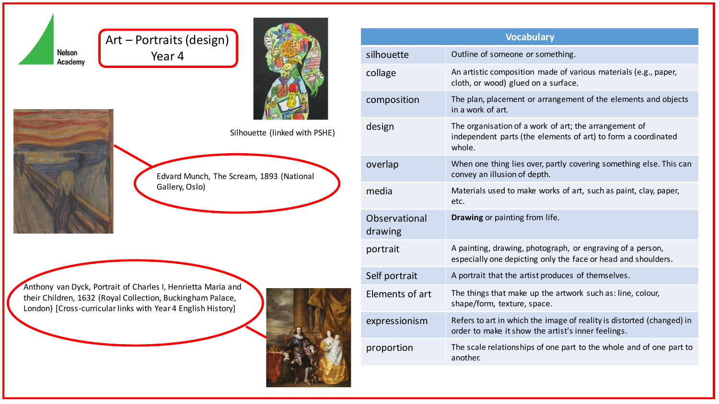





Nelson



Anthony van Dyck, Portrait of Charles I, Henrietta Maria and their Children, 1632 (Royal Collection, Buckingham Palace, London) [Cross-curricular links with Year 4 English History]



| <b>Vocabulary</b>        |                                                                                                                                  |
|--------------------------|----------------------------------------------------------------------------------------------------------------------------------|
| silhouette               | Outline of someone or something.                                                                                                 |
| collage                  | An artistic composition made of various materials (e.g., paper,<br>cloth, or wood) glued on a surface.                           |
| composition              | The plan, placement or arrangement of the elements and objects<br>in a work of art.                                              |
| design                   | The organisation of a work of art; the arrangement of<br>independent parts (the elements of art) to form a coordinated<br>whole. |
| overlap                  | When one thing lies over, partly covering something else. This can<br>convey an illusion of depth.                               |
| media                    | Materials used to make works of art, such as paint, clay, paper,<br>etc.                                                         |
| Observational<br>drawing | Drawing or painting from life.                                                                                                   |
| portrait                 | A painting, drawing, photograph, or engraving of a person,<br>especially one depicting only the face or head and shoulders.      |
| Self portrait            | A portrait that the artist produces of themselves.                                                                               |
| Elements of art          | The things that make up the artwork such as: line, colour,<br>shape/form, texture, space.                                        |
| expressionism            | Refers to art in which the image of reality is distorted (changed) in<br>order to make it show the artist's inner feelings.      |
| proportion               | The scale relationships of one part to the whole and of one part to<br>another.                                                  |